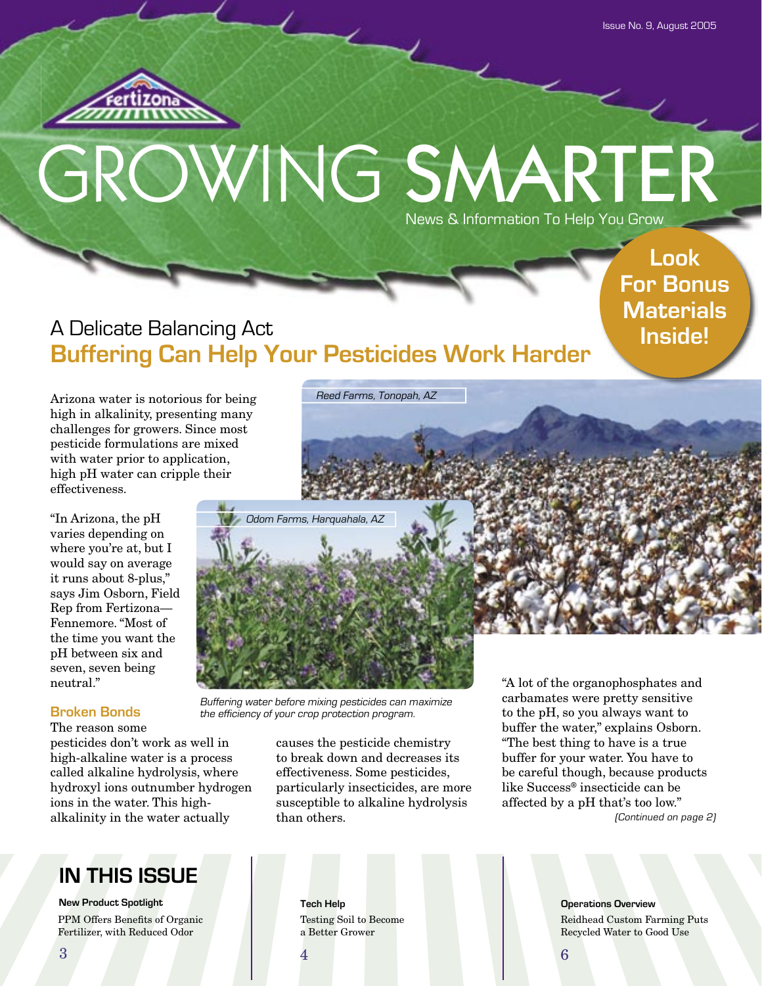

# GROWING SMARTER News & Information To Help You Grow

**Look For Bonus Materials Inside!**

# A Delicate Balancing Act **Buffering Can Help Your Pesticides Work Harder**

Arizona water is notorious for being high in alkalinity, presenting many challenges for growers. Since most pesticide formulations are mixed with water prior to application, high pH water can cripple their effectiveness.

"In Arizona, the pH varies depending on where you're at, but I would say on average it runs about 8-plus," says Jim Osborn, Field Rep from Fertizona— Fennemore. "Most of the time you want the pH between six and seven, seven being neutral."

#### **Broken Bonds**

The reason some pesticides don't work as well in high-alkaline water is a process called alkaline hydrolysis, where hydroxyl ions outnumber hydrogen ions in the water. This highalkalinity in the water actually

# **IN THIS ISSUE**

**New Product Spotlight** PPM Offers Benefits of Organic Fertilizer, with Reduced Odor

Buffering water before mixing pesticides can maximize the efficiency of your crop protection program.

> causes the pesticide chemistry to break down and decreases its effectiveness. Some pesticides, particularly insecticides, are more susceptible to alkaline hydrolysis than others.

"A lot of the organophosphates and carbamates were pretty sensitive to the pH, so you always want to buffer the water," explains Osborn. "The best thing to have is a true buffer for your water. You have to be careful though, because products like Success® insecticide can be affected by a pH that's too low." (Continued on page 2)

Testing Soil to Become a Better Grower

**Tech Help Operations Overview** Reidhead Custom Farming Puts Recycled Water to Good Use

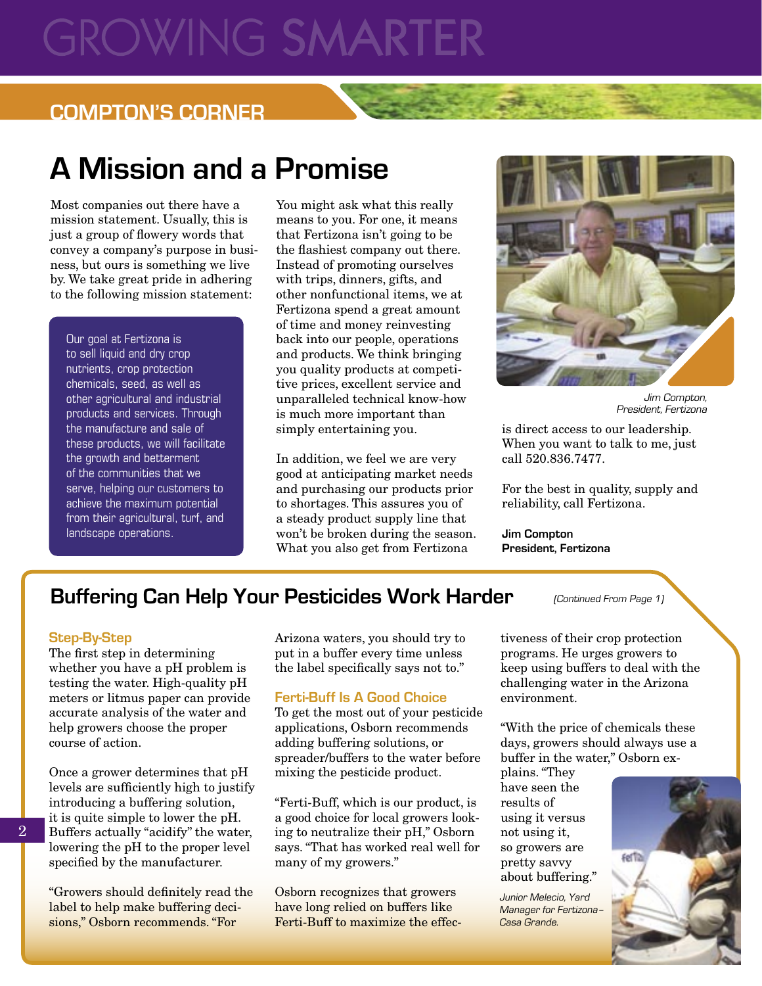# **GROWING SMARTE**

# **COMPTON'S CORNER**

# **A Mission and a Promise**

Most companies out there have a mission statement. Usually, this is just a group of flowery words that convey a company's purpose in business, but ours is something we live by. We take great pride in adhering to the following mission statement:

Our goal at Fertizona is to sell liquid and dry crop nutrients, crop protection chemicals, seed, as well as other agricultural and industrial products and services. Through the manufacture and sale of these products, we will facilitate the growth and betterment of the communities that we serve, helping our customers to achieve the maximum potential from their agricultural, turf, and landscape operations.

You might ask what this really means to you. For one, it means that Fertizona isn't going to be the flashiest company out there. Instead of promoting ourselves with trips, dinners, gifts, and other nonfunctional items, we at Fertizona spend a great amount of time and money reinvesting back into our people, operations and products. We think bringing you quality products at competitive prices, excellent service and unparalleled technical know-how is much more important than simply entertaining you.

In addition, we feel we are very good at anticipating market needs and purchasing our products prior to shortages. This assures you of a steady product supply line that won't be broken during the season. What you also get from Fertizona



Jim Compton, President, Fertizona

is direct access to our leadership. When you want to talk to me, just call 520.836.7477.

For the best in quality, supply and reliability, call Fertizona.

**Jim Compton President, Fertizona**

# **Buffering Can Help Your Pesticides Work Harder**

#### **Step-By-Step**

The first step in determining whether you have a pH problem is testing the water. High-quality pH meters or litmus paper can provide accurate analysis of the water and help growers choose the proper course of action.

Once a grower determines that pH levels are sufficiently high to justify introducing a buffering solution, it is quite simple to lower the pH. Buffers actually "acidify" the water, lowering the pH to the proper level specified by the manufacturer.

"Growers should definitely read the label to help make buffering decisions," Osborn recommends. "For

Arizona waters, you should try to put in a buffer every time unless the label specifically says not to."

#### **Ferti-Buff Is A Good Choice**

To get the most out of your pesticide applications, Osborn recommends adding buffering solutions, or spreader/buffers to the water before mixing the pesticide product.

"Ferti-Buff, which is our product, is a good choice for local growers looking to neutralize their pH," Osborn says. "That has worked real well for many of my growers."

Osborn recognizes that growers have long relied on buffers like Ferti-Buff to maximize the effec(Continued From Page 1)

tiveness of their crop protection programs. He urges growers to keep using buffers to deal with the challenging water in the Arizona environment.

"With the price of chemicals these days, growers should always use a buffer in the water," Osborn ex-

plains. "They have seen the results of using it versus not using it, so growers are pretty savvy about buffering."

Junior Melecio, Yard Manager for Fertizona– Casa Grande.



2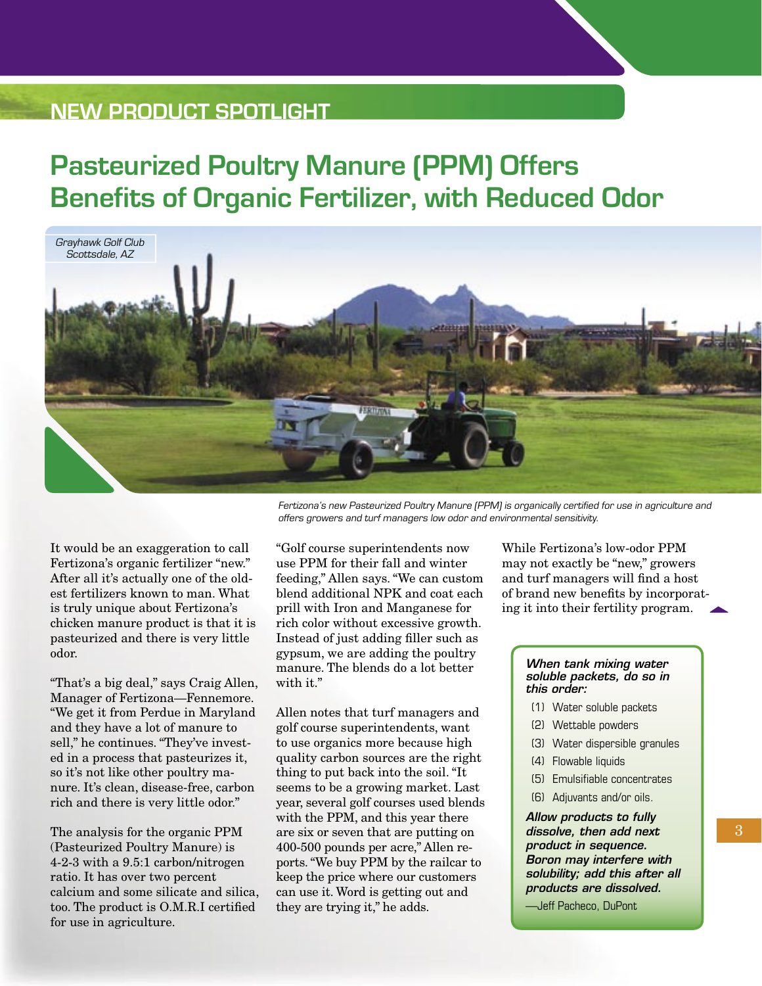# **NEW PRODUCT SPOTLIGHT**

# **Pasteurized Poultry Manure (PPM) Offers Benefits of Organic Fertilizer, with Reduced Odor**



It would be an exaggeration to call Fertizona's organic fertilizer "new." After all it's actually one of the oldest fertilizers known to man. What is truly unique about Fertizona's chicken manure product is that it is pasteurized and there is very little odor.

"That's a big deal," says Craig Allen, Manager of Fertizona—Fennemore. "We get it from Perdue in Maryland and they have a lot of manure to sell," he continues. "They've invested in a process that pasteurizes it, so it's not like other poultry manure. It's clean, disease-free, carbon rich and there is very little odor."

The analysis for the organic PPM (Pasteurized Poultry Manure) is 4-2-3 with a 9.5:1 carbon/nitrogen ratio. It has over two percent calcium and some silicate and silica, too. The product is O.M.R.I certified for use in agriculture.

offers growers and turf managers low odor and environmental sensitivity.

"Golf course superintendents now use PPM for their fall and winter feeding," Allen says. "We can custom blend additional NPK and coat each prill with Iron and Manganese for rich color without excessive growth. Instead of just adding filler such as gypsum, we are adding the poultry manure. The blends do a lot better with it."

Allen notes that turf managers and golf course superintendents, want to use organics more because high quality carbon sources are the right thing to put back into the soil. "It seems to be a growing market. Last year, several golf courses used blends with the PPM, and this year there are six or seven that are putting on 400-500 pounds per acre," Allen reports. "We buy PPM by the railcar to keep the price where our customers can use it. Word is getting out and they are trying it," he adds.

While Fertizona's low-odor PPM may not exactly be "new," growers and turf managers will find a host of brand new benefits by incorporating it into their fertility program.

#### When tank mixing water soluble packets, do so in this order:

- (1) Water soluble packets
- (2) Wettable powders
- (3) Water dispersible granules
- (4) Flowable liquids
- (5) Emulsifiable concentrates
- (6) Adjuvants and/or oils.

Allow products to fully dissolve, then add next product in sequence. Boron may interfere with solubility; add this after all products are dissolved.

—Jeff Pacheco, DuPont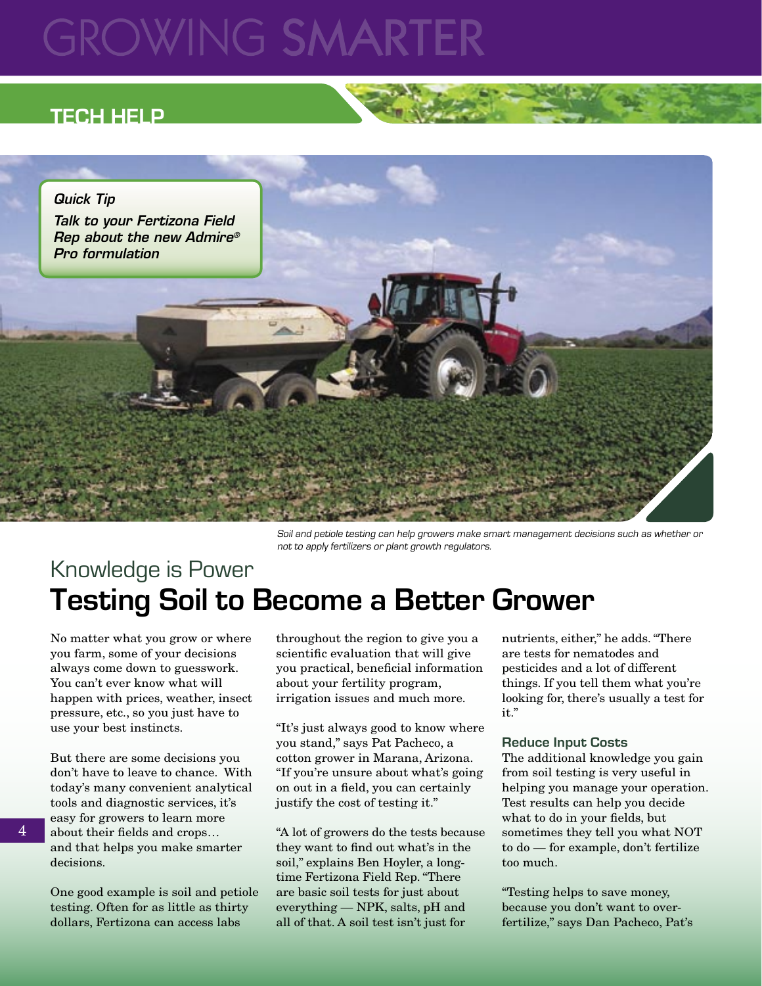# **GROWING SMARTE**

# **TECH HELP**



Soil and petiole testing can help growers make smart management decisions such as whether or not to apply fertilizers or plant growth regulators.

# Knowledge is Power **Testing Soil to Become a Better Grower**

No matter what you grow or where you farm, some of your decisions always come down to guesswork. You can't ever know what will happen with prices, weather, insect pressure, etc., so you just have to use your best instincts.

But there are some decisions you don't have to leave to chance. With today's many convenient analytical tools and diagnostic services, it's easy for growers to learn more about their fields and crops... and that helps you make smarter decisions.

One good example is soil and petiole testing. Often for as little as thirty dollars, Fertizona can access labs

throughout the region to give you a scientific evaluation that will give you practical, beneficial information about your fertility program, irrigation issues and much more.

"It's just always good to know where you stand," says Pat Pacheco, a cotton grower in Marana, Arizona. "If you're unsure about what's going on out in a field, you can certainly justify the cost of testing it."

"A lot of growers do the tests because they want to find out what's in the soil," explains Ben Hoyler, a longtime Fertizona Field Rep. "There are basic soil tests for just about everything — NPK, salts, pH and all of that. A soil test isn't just for

nutrients, either," he adds. "There are tests for nematodes and pesticides and a lot of different things. If you tell them what you're looking for, there's usually a test for it."

#### **Reduce Input Costs**

The additional knowledge you gain from soil testing is very useful in helping you manage your operation. Test results can help you decide what to do in your fields, but sometimes they tell you what NOT to do — for example, don't fertilize too much.

"Testing helps to save money, because you don't want to overfertilize," says Dan Pacheco, Pat's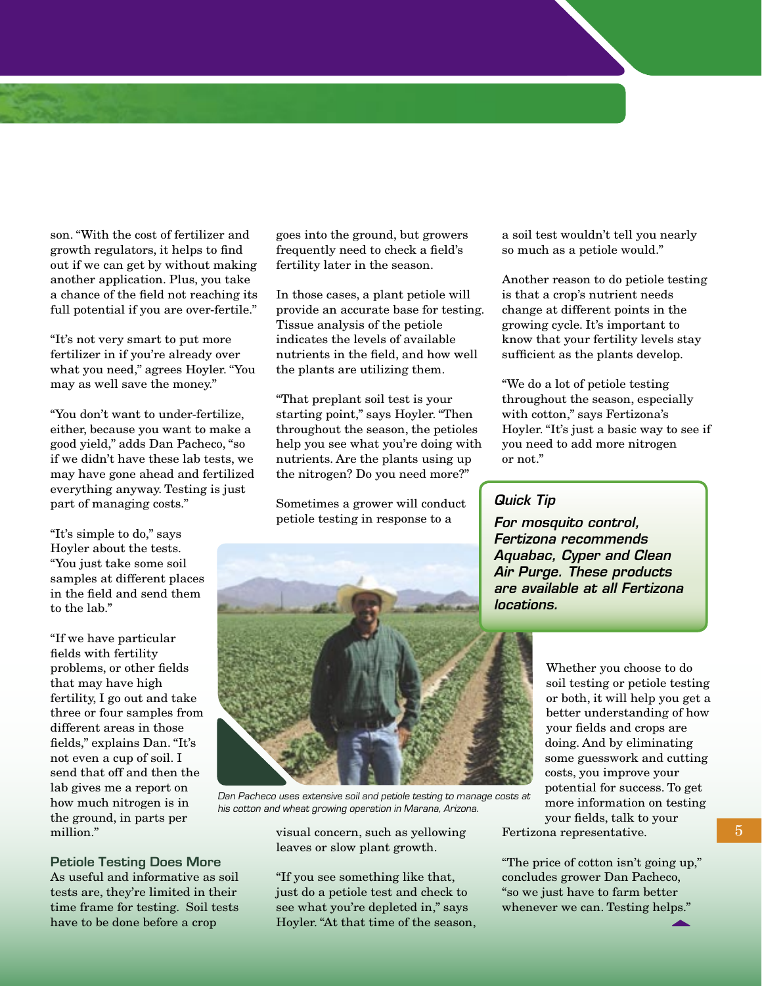son. "With the cost of fertilizer and growth regulators, it helps to find out if we can get by without making another application. Plus, you take a chance of the field not reaching its full potential if you are over-fertile."

"It's not very smart to put more fertilizer in if you're already over what you need," agrees Hoyler. "You may as well save the money."

"You don't want to under-fertilize, either, because you want to make a good yield," adds Dan Pacheco, "so if we didn't have these lab tests, we may have gone ahead and fertilized everything anyway. Testing is just part of managing costs."

"It's simple to do," says Hoyler about the tests. "You just take some soil samples at different places in the field and send them to the lab."

"If we have particular fields with fertility problems, or other fields that may have high fertility, I go out and take three or four samples from different areas in those fields," explains Dan. "It's not even a cup of soil. I send that off and then the lab gives me a report on how much nitrogen is in the ground, in parts per million."

**Petiole Testing Does More** As useful and informative as soil tests are, they're limited in their time frame for testing. Soil tests have to be done before a crop

goes into the ground, but growers frequently need to check a field's fertility later in the season.

In those cases, a plant petiole will provide an accurate base for testing. Tissue analysis of the petiole indicates the levels of available nutrients in the field, and how well the plants are utilizing them.

"That preplant soil test is your starting point," says Hoyler. "Then throughout the season, the petioles help you see what you're doing with nutrients. Are the plants using up the nitrogen? Do you need more?"

Sometimes a grower will conduct petiole testing in response to a

a soil test wouldn't tell you nearly so much as a petiole would."

Another reason to do petiole testing is that a crop's nutrient needs change at different points in the growing cycle. It's important to know that your fertility levels stay sufficient as the plants develop.

"We do a lot of petiole testing throughout the season, especially with cotton," says Fertizona's Hoyler. "It's just a basic way to see if you need to add more nitrogen or not."

#### Quick Tip

For mosquito control, Fertizona recommends Aquabac, Cyper and Clean Air Purge. These products are available at all Fertizona locations.

> Whether you choose to do soil testing or petiole testing or both, it will help you get a better understanding of how your fields and crops are doing. And by eliminating some guesswork and cutting costs, you improve your potential for success. To get more information on testing your fields, talk to your

Fertizona representative.

"The price of cotton isn't going up," concludes grower Dan Pacheco, "so we just have to farm better whenever we can. Testing helps."

# Dan Pacheco uses extensive soil and petiole testing to manage costs at his cotton and wheat growing operation in Marana, Arizona.

visual concern, such as yellowing leaves or slow plant growth.

"If you see something like that, just do a petiole test and check to see what you're depleted in," says Hoyler. "At that time of the season, 5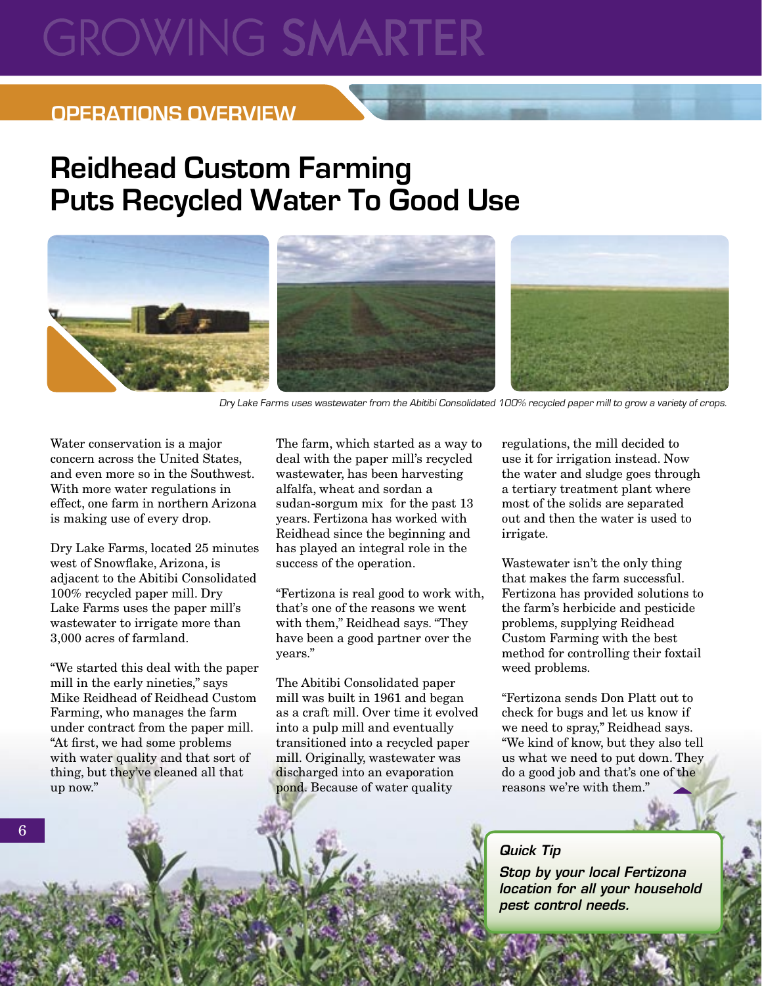# **GROWING SMARTER**

# **OPERATIONS OVERVIEW**

# **Reidhead Custom Farming Puts Recycled Water To Good Use**



Dry Lake Farms uses wastewater from the Abitibi Consolidated 100% recycled paper mill to grow a variety of crops.

Water conservation is a major concern across the United States, and even more so in the Southwest. With more water regulations in effect, one farm in northern Arizona is making use of every drop.

Dry Lake Farms, located 25 minutes west of Snowflake, Arizona, is adjacent to the Abitibi Consolidated 100% recycled paper mill. Dry Lake Farms uses the paper mill's wastewater to irrigate more than 3,000 acres of farmland.

"We started this deal with the paper mill in the early nineties," says Mike Reidhead of Reidhead Custom Farming, who manages the farm under contract from the paper mill. "At first, we had some problems with water quality and that sort of thing, but they've cleaned all that up now."

6

The farm, which started as a way to deal with the paper mill's recycled wastewater, has been harvesting alfalfa, wheat and sordan�a sudan-sorgum mix for the past 13 years. Fertizona has worked with Reidhead since the beginning and has played an integral role in the success of the operation.

"Fertizona is real good to work with, that's one of the reasons we went with them," Reidhead says. "They have been a good partner over the years."

The Abitibi Consolidated paper mill was built in 1961 and began as a craft mill. Over time it evolved into a pulp mill and eventually transitioned into a recycled paper mill. Originally, wastewater was discharged into an evaporation pond. Because of water quality

regulations, the mill decided to use it for irrigation instead. Now the water and sludge goes through a tertiary treatment plant where most of the solids are separated out and then the water is used to irrigate.

Wastewater isn't the only thing that makes the farm successful. Fertizona has provided solutions to the farm's herbicide and pesticide problems, supplying Reidhead Custom Farming with the best method for controlling their foxtail weed problems.

"Fertizona sends Don Platt out to check for bugs and let us know if we need to spray," Reidhead says. "We kind of know, but they also tell us what we need to put down. They do a good job and that's one of the reasons we're with them."

### Quick Tip

Stop by your local Fertizona location for all your household pest control needs.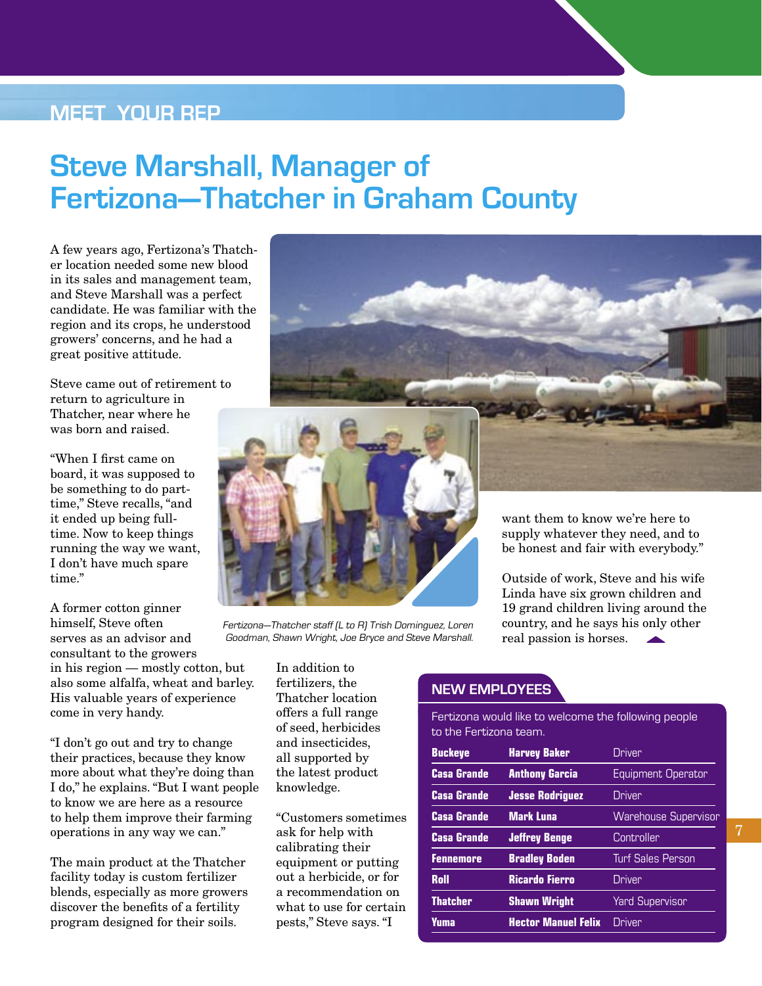# **MEET YOUR REP**

# **Steve Marshall, Manager of Fertizona—Thatcher in Graham County**

A few years ago, Fertizona's Thatcher location needed some new blood in its sales and management team, and Steve Marshall was a perfect candidate. He was familiar with the region and its crops, he understood growers' concerns, and he had a great positive attitude.

Steve came out of retirement to return to agriculture in Thatcher, near where he was born and raised.

"When I first came on board, it was supposed to be something to do parttime," Steve recalls, "and it ended up being fulltime. Now to keep things running the way we want, I don't have much spare time."

A former cotton ginner himself, Steve often serves as an advisor and consultant to the growers in his region — mostly cotton, but also some alfalfa, wheat and barley. His valuable years of experience come in very handy.

"I don't go out and try to change their practices, because they know more about what they're doing than I do," he explains. "But I want people to know we are here as a resource to help them improve their farming operations in any way we can."

The main product at the Thatcher facility today is custom fertilizer blends, especially as more growers discover the benefits of a fertility program designed for their soils.



Fertizona—Thatcher staff (L to R) Trish Dominguez, Loren Goodman, Shawn Wright, Joe Bryce and Steve Marshall.

> In addition to fertilizers, the Thatcher location offers a full range of seed, herbicides and insecticides, all supported by the latest product knowledge.

"Customers sometimes ask for help with calibrating their equipment or putting out a herbicide, or for a recommendation on what to use for certain pests," Steve says. "I

be honest and fair with everybody."

Outside of work, Steve and his wife Linda have six grown children and 19 grand children living around the country, and he says his only other real passion is horses.

#### **NEW EMPLOYEES**

Fertizona would like to welcome the following people to the Fertizona team.

| <b>Buckeye</b>     | <b>Harvey Baker</b>        | <b>Driver</b>               |
|--------------------|----------------------------|-----------------------------|
| <b>Casa Grande</b> | <b>Anthony Garcia</b>      | Equipment Operator          |
| <b>Casa Grande</b> | <b>Jesse Rodriguez</b>     | Driver                      |
| <b>Casa Grande</b> | <b>Mark Luna</b>           | <b>Warehouse Supervisor</b> |
| <b>Casa Grande</b> | <b>Jeffrey Benge</b>       | Controller                  |
| <b>Fennemore</b>   | <b>Bradley Boden</b>       | <b>Turf Sales Person</b>    |
| Roll               | <b>Ricardo Fierro</b>      | Driver                      |
| <b>Thatcher</b>    | <b>Shawn Wright</b>        | <b>Yard Supervisor</b>      |
| Yuma               | <b>Hector Manuel Felix</b> | Driver                      |